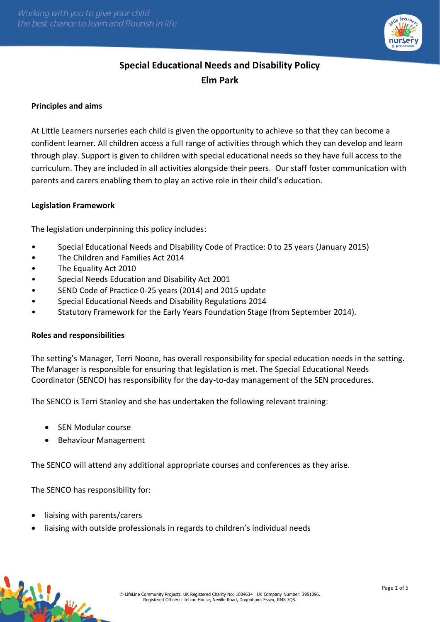

# **Special Educational Needs and Disability Policy Elm Park**

## **Principles and aims**

At Little Learners nurseries each child is given the opportunity to achieve so that they can become a confident learner. All children access a full range of activities through which they can develop and learn through play. Support is given to children with special educational needs so they have full access to the curriculum. They are included in all activities alongside their peers. Our staff foster communication with parents and carers enabling them to play an active role in their child's education.

## **Legislation Framework**

The legislation underpinning this policy includes:

- Special Educational Needs and Disability Code of Practice: 0 to 25 years (January 2015)
- The Children and Families Act 2014
- The Equality Act 2010
- Special Needs Education and Disability Act 2001
- SEND Code of Practice 0-25 years (2014) and 2015 update
- Special Educational Needs and Disability Regulations 2014
- Statutory Framework for the Early Years Foundation Stage (from September 2014).

## **Roles and responsibilities**

The setting's Manager, Terri Noone, has overall responsibility for special education needs in the setting. The Manager is responsible for ensuring that legislation is met. The Special Educational Needs Coordinator (SENCO) has responsibility for the day-to-day management of the SEN procedures.

The SENCO is Terri Stanley and she has undertaken the following relevant training:

- SEN Modular course
- Behaviour Management

The SENCO will attend any additional appropriate courses and conferences as they arise.

The SENCO has responsibility for:

liaising with parents/carers

• liaising with outside professionals in regards to children's individual needs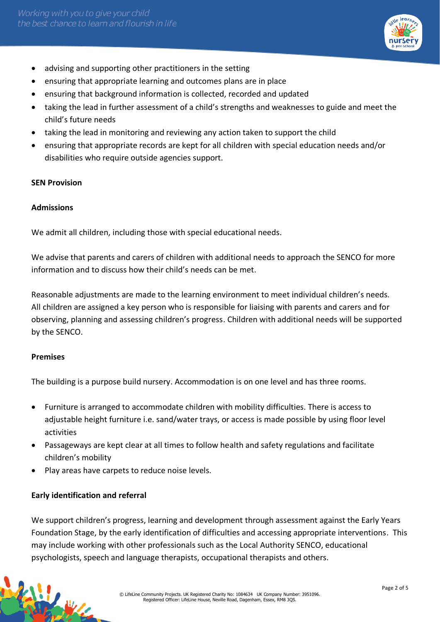

- advising and supporting other practitioners in the setting
- ensuring that appropriate learning and outcomes plans are in place
- ensuring that background information is collected, recorded and updated
- taking the lead in further assessment of a child's strengths and weaknesses to guide and meet the child's future needs
- taking the lead in monitoring and reviewing any action taken to support the child
- ensuring that appropriate records are kept for all children with special education needs and/or disabilities who require outside agencies support.

## **SEN Provision**

## **Admissions**

We admit all children, including those with special educational needs.

We advise that parents and carers of children with additional needs to approach the SENCO for more information and to discuss how their child's needs can be met.

Reasonable adjustments are made to the learning environment to meet individual children's needs. All children are assigned a key person who is responsible for liaising with parents and carers and for observing, planning and assessing children's progress. Children with additional needs will be supported by the SENCO.

## **Premises**

传说业

The building is a purpose build nursery. Accommodation is on one level and has three rooms.

- Furniture is arranged to accommodate children with mobility difficulties. There is access to adjustable height furniture i.e. sand/water trays, or access is made possible by using floor level activities
- Passageways are kept clear at all times to follow health and safety regulations and facilitate children's mobility
- Play areas have carpets to reduce noise levels.

# **Early identification and referral**

We support children's progress, learning and development through assessment against the Early Years Foundation Stage, by the early identification of difficulties and accessing appropriate interventions. This may include working with other professionals such as the Local Authority SENCO, educational psychologists, speech and language therapists, occupational therapists and others.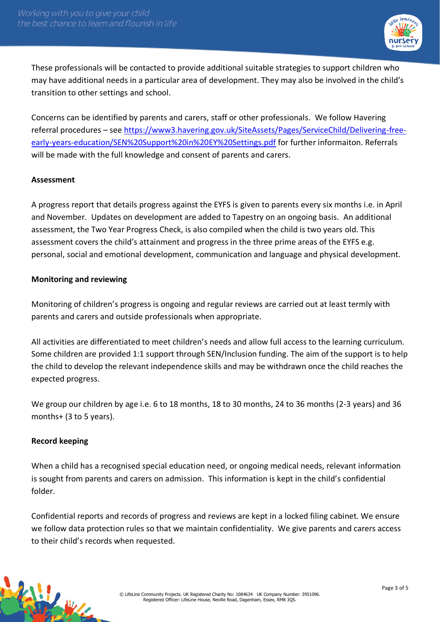

These professionals will be contacted to provide additional suitable strategies to support children who may have additional needs in a particular area of development. They may also be involved in the child's transition to other settings and school.

Concerns can be identified by parents and carers, staff or other professionals. We follow Havering referral procedures – see [https://www3.havering.gov.uk/SiteAssets/Pages/ServiceChild/Delivering-free](https://www3.havering.gov.uk/SiteAssets/Pages/ServiceChild/Delivering-free-early-years-education/SEN%20Support%20in%20EY%20Settings.pdf)[early-years-education/SEN%20Support%20in%20EY%20Settings.pdf](https://www3.havering.gov.uk/SiteAssets/Pages/ServiceChild/Delivering-free-early-years-education/SEN%20Support%20in%20EY%20Settings.pdf) for further informaiton. Referrals will be made with the full knowledge and consent of parents and carers.

# **Assessment**

A progress report that details progress against the EYFS is given to parents every six months i.e. in April and November. Updates on development are added to Tapestry on an ongoing basis. An additional assessment, the Two Year Progress Check, is also compiled when the child is two years old. This assessment covers the child's attainment and progress in the three prime areas of the EYFS e.g. personal, social and emotional development, communication and language and physical development.

# **Monitoring and reviewing**

Monitoring of children's progress is ongoing and regular reviews are carried out at least termly with parents and carers and outside professionals when appropriate.

All activities are differentiated to meet children's needs and allow full access to the learning curriculum. Some children are provided 1:1 support through SEN/Inclusion funding. The aim of the support is to help the child to develop the relevant independence skills and may be withdrawn once the child reaches the expected progress.

We group our children by age i.e. 6 to 18 months, 18 to 30 months, 24 to 36 months (2-3 years) and 36 months+ (3 to 5 years).

# **Record keeping**

When a child has a recognised special education need, or ongoing medical needs, relevant information is sought from parents and carers on admission. This information is kept in the child's confidential folder.

Confidential reports and records of progress and reviews are kept in a locked filing cabinet. We ensure we follow data protection rules so that we maintain confidentiality. We give parents and carers access to their child's records when requested.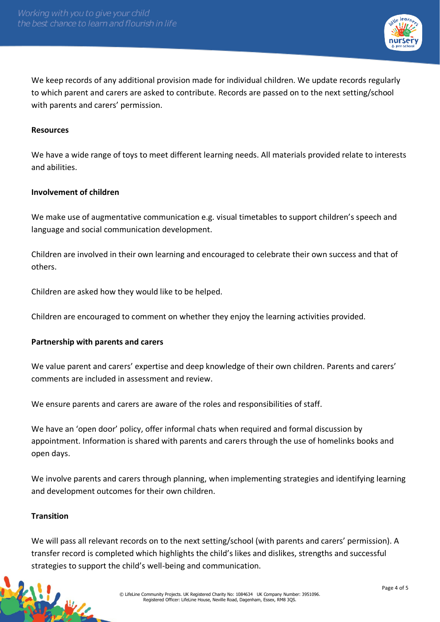

We keep records of any additional provision made for individual children. We update records regularly to which parent and carers are asked to contribute. Records are passed on to the next setting/school with parents and carers' permission.

#### **Resources**

We have a wide range of toys to meet different learning needs. All materials provided relate to interests and abilities.

## **Involvement of children**

We make use of augmentative communication e.g. visual timetables to support children's speech and language and social communication development.

Children are involved in their own learning and encouraged to celebrate their own success and that of others.

Children are asked how they would like to be helped.

Children are encouraged to comment on whether they enjoy the learning activities provided.

## **Partnership with parents and carers**

We value parent and carers' expertise and deep knowledge of their own children. Parents and carers' comments are included in assessment and review.

We ensure parents and carers are aware of the roles and responsibilities of staff.

We have an 'open door' policy, offer informal chats when required and formal discussion by appointment. Information is shared with parents and carers through the use of homelinks books and open days.

We involve parents and carers through planning, when implementing strategies and identifying learning and development outcomes for their own children.

#### **Transition**

RANGE AVE

We will pass all relevant records on to the next setting/school (with parents and carers' permission). A transfer record is completed which highlights the child's likes and dislikes, strengths and successful strategies to support the child's well-being and communication.